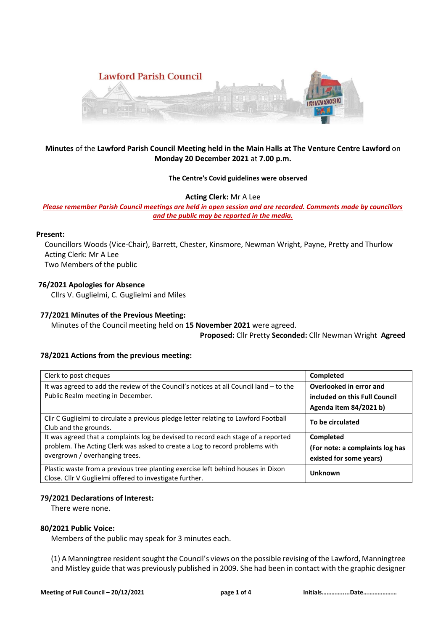

# **Minutes** of the **Lawford Parish Council Meeting held in the Main Halls at The Venture Centre Lawford** on **Monday 20 December 2021** at **7.00 p.m.**

#### **The Centre's Covid guidelines were observed**

**Acting Clerk:** Mr A Lee

*Please remember Parish Council meetings are held in open session and are recorded. Comments made by councillors and the public may be reported in the media.* 

#### **Present:**

Councillors Woods (Vice-Chair), Barrett, Chester, Kinsmore, Newman Wright, Payne, Pretty and Thurlow Acting Clerk: Mr A Lee Two Members of the public

## **76/2021 Apologies for Absence**

Cllrs V. Guglielmi, C. Guglielmi and Miles

#### **77/2021 Minutes of the Previous Meeting:**

Minutes of the Council meeting held on **15 November 2021** were agreed.

**Proposed:** Cllr Pretty **Seconded:** Cllr Newman Wright **Agreed**

### **78/2021 Actions from the previous meeting:**

| Clerk to post cheques                                                                                        | Completed                       |
|--------------------------------------------------------------------------------------------------------------|---------------------------------|
| It was agreed to add the review of the Council's notices at all Council land $-$ to the                      | Overlooked in error and         |
| Public Realm meeting in December.                                                                            | included on this Full Council   |
|                                                                                                              | Agenda item 84/2021 b)          |
| Cllr C Guglielmi to circulate a previous pledge letter relating to Lawford Football<br>Club and the grounds. | To be circulated                |
| It was agreed that a complaints log be devised to record each stage of a reported                            | Completed                       |
| problem. The Acting Clerk was asked to create a Log to record problems with                                  | (For note: a complaints log has |
| overgrown / overhanging trees.                                                                               | existed for some years)         |
| Plastic waste from a previous tree planting exercise left behind houses in Dixon                             | Unknown                         |
| Close. Cllr V Guglielmi offered to investigate further.                                                      |                                 |

### **79/2021 Declarations of Interest:**

There were none.

#### **80/2021 Public Voice:**

Members of the public may speak for 3 minutes each.

(1) A Manningtree resident sought the Council's views on the possible revising of the Lawford, Manningtree and Mistley guide that was previously published in 2009. She had been in contact with the graphic designer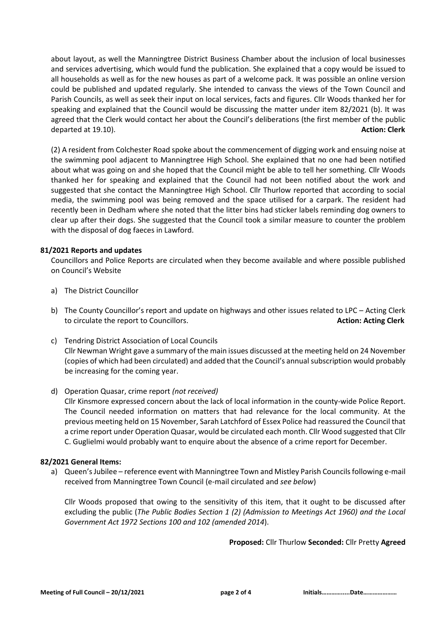about layout, as well the Manningtree District Business Chamber about the inclusion of local businesses and services advertising, which would fund the publication. She explained that a copy would be issued to all households as well as for the new houses as part of a welcome pack. It was possible an online version could be published and updated regularly. She intended to canvass the views of the Town Council and Parish Councils, as well as seek their input on local services, facts and figures. Cllr Woods thanked her for speaking and explained that the Council would be discussing the matter under item 82/2021 (b). It was agreed that the Clerk would contact her about the Council's deliberations (the first member of the public departed at 19.10). **Action: Clerk**

(2) A resident from Colchester Road spoke about the commencement of digging work and ensuing noise at the swimming pool adjacent to Manningtree High School. She explained that no one had been notified about what was going on and she hoped that the Council might be able to tell her something. Cllr Woods thanked her for speaking and explained that the Council had not been notified about the work and suggested that she contact the Manningtree High School. Cllr Thurlow reported that according to social media, the swimming pool was being removed and the space utilised for a carpark. The resident had recently been in Dedham where she noted that the litter bins had sticker labels reminding dog owners to clear up after their dogs. She suggested that the Council took a similar measure to counter the problem with the disposal of dog faeces in Lawford.

### **81/2021 Reports and updates**

Councillors and Police Reports are circulated when they become available and where possible published on Council's Website

- a) The District Councillor
- b) The County Councillor's report and update on highways and other issues related to LPC Acting Clerk to circulate the report to Councillors. **Action: Acting Clerk**
- c) Tendring District Association of Local Councils Cllr Newman Wright gave a summary of the main issues discussed at the meeting held on 24 November (copies of which had been circulated) and added that the Council's annual subscription would probably be increasing for the coming year.

### d) Operation Quasar, crime report *(not received)*

Cllr Kinsmore expressed concern about the lack of local information in the county-wide Police Report. The Council needed information on matters that had relevance for the local community. At the previous meeting held on 15 November, Sarah Latchford of Essex Police had reassured the Council that a crime report under Operation Quasar, would be circulated each month. Cllr Wood suggested that Cllr C. Guglielmi would probably want to enquire about the absence of a crime report for December.

### **82/2021 General Items:**

a) Queen's Jubilee – reference event with Manningtree Town and Mistley Parish Councils following e-mail received from Manningtree Town Council (e-mail circulated and *see below*)

Cllr Woods proposed that owing to the sensitivity of this item, that it ought to be discussed after excluding the public (*The Public Bodies Section 1 (2) (Admission to Meetings Act 1960) and the Local Government Act 1972 Sections 100 and 102 (amended 2014*).

**Proposed:** Cllr Thurlow **Seconded:** Cllr Pretty **Agreed**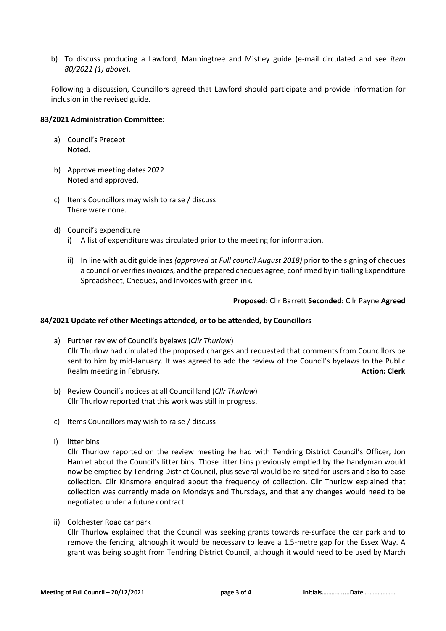b) To discuss producing a Lawford, Manningtree and Mistley guide (e-mail circulated and see *item 80/2021 (1) above*).

Following a discussion, Councillors agreed that Lawford should participate and provide information for inclusion in the revised guide.

#### **83/2021 Administration Committee:**

- a) Council's Precept Noted.
- b) Approve meeting dates 2022 Noted and approved.
- c) Items Councillors may wish to raise / discuss There were none.
- d) Council's expenditure
	- i) A list of expenditure was circulated prior to the meeting for information.
	- ii) In line with audit guidelines *(approved at Full council August 2018)* prior to the signing of cheques a councillor verifies invoices, and the prepared cheques agree, confirmed by initialling Expenditure Spreadsheet, Cheques, and Invoices with green ink.

### **Proposed:** Cllr Barrett **Seconded:** Cllr Payne **Agreed**

### **84/2021 Update ref other Meetings attended, or to be attended, by Councillors**

- a) Further review of Council's byelaws (*Cllr Thurlow*) Cllr Thurlow had circulated the proposed changes and requested that comments from Councillors be sent to him by mid-January. It was agreed to add the review of the Council's byelaws to the Public Realm meeting in February. **Action: Clerk**
- b) Review Council's notices at all Council land (*Cllr Thurlow*) Cllr Thurlow reported that this work was still in progress.
- c) Items Councillors may wish to raise / discuss
- i) litter bins

Cllr Thurlow reported on the review meeting he had with Tendring District Council's Officer, Jon Hamlet about the Council's litter bins. Those litter bins previously emptied by the handyman would now be emptied by Tendring District Council, plus several would be re-sited for users and also to ease collection. Cllr Kinsmore enquired about the frequency of collection. Cllr Thurlow explained that collection was currently made on Mondays and Thursdays, and that any changes would need to be negotiated under a future contract.

ii) Colchester Road car park

Cllr Thurlow explained that the Council was seeking grants towards re-surface the car park and to remove the fencing, although it would be necessary to leave a 1.5-metre gap for the Essex Way. A grant was being sought from Tendring District Council, although it would need to be used by March